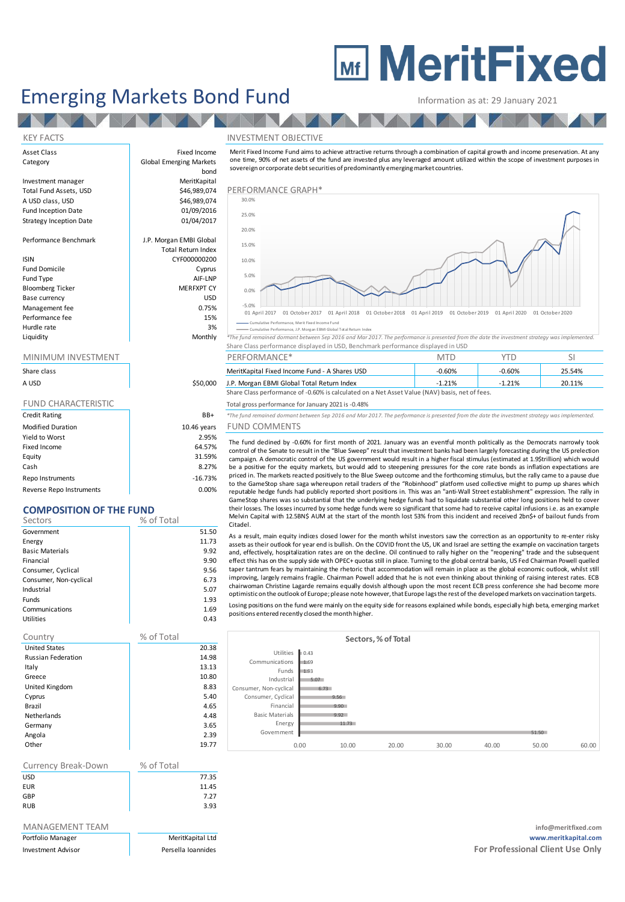# **MEDITE MeritFixed**

## Emerging Markets Bond Fund<br>
Information as at: 29 January 2021

Total Return Index

### KEY FACTS INVESTMENT OBJECTIVE

Asset Class **Fixed Income** Category **Global Emerging Markets** 

**TANA** 

Investment manager **MeritKapital**<br>1946 Total Fund Assets, USD MeritKapital A USD class, USD \$46,989,074 Performance Graph Fund Inception Date **12 bis 1200 million**<br>Strategy Inception Date 1986 million 01/04/2017 Strategy Inception Date

Performance Benchmark J.P. Morgan EMBI Global

### ISIN CYF000000200

Fund Domicile **Cyprus** Fund Type AIF-LNP<br>Bloomberg Ticker AIF-LNP MERFXPT CY Bloomberg Ticker Base currency USD Management fee between the contraction of the contraction of the contraction of the contraction of the contraction of the contraction of the contraction of the contraction of the contraction of the contraction of the contr Performance fee 15% and 15% and 15% and 15% and 15% and 15% and 15% and 15% and 15% and 15% and 15% and 15% and 15% and 15% and 15% and 15% and 15% and 15% and 15% and 15% and 15% and 15% and 15% and 15% and 15% and 15% an Hurdle rate and the state of the state of the state of the state of the state of the state of the state of the state of the state of the state of the state of the state of the state of the state of the state of the state o

| Share class                |             |
|----------------------------|-------------|
| A USD                      | \$50,000    |
|                            |             |
| <b>FUND CHARACTERISTIC</b> |             |
| <b>Credit Rating</b>       | BB+         |
| <b>Modified Duration</b>   | 10.46 years |
| Yield to Worst             | 2.95%       |
| Fixed Income               | 64.57%      |
| Equity                     | 31.59%      |
| Cash                       | 8.27%       |

Repo Instruments and the contract of the contract of the contract of the contract of the contract of the contract of the contract of the contract of the contract of the contract of the contract of the contract of the contr Reverse Repo Instruments and the control of the control of the control of the control of the control of the control of the control of the control of the control of the control of the control of the control of the control o

### **COMPOSITION OF THE FUND**

| Sectors                | % of Total |
|------------------------|------------|
| Government             | 51.50      |
| Energy                 | 11.73      |
| <b>Basic Materials</b> | 9.92       |
| Financial              | 9.90       |
| Consumer, Cyclical     | 9.56       |
| Consumer, Non-cyclical | 6.73       |
| Industrial             | 5.07       |
| Funds                  | 1.93       |
| Communications         | 1.69       |
| Utilities              | 0.43       |

| % of Total |
|------------|
| 20.38      |
| 14.98      |
| 13.13      |
| 10.80      |
| 8.83       |
| 5.40       |
| 4.65       |
| 4.48       |
| 3.65       |
| 2.39       |
| 19.77      |
|            |

| Currency Break-Down | % of Total |       |
|---------------------|------------|-------|
| USD                 |            | 77.35 |
| <b>EUR</b>          |            | 11.45 |
| GBP                 |            | 7.27  |
| <b>RUB</b>          |            | 3.93  |

| Portfolio Manager         |  |
|---------------------------|--|
| <b>Investment Advisor</b> |  |

# bond<br>MeritKapital Information as at: 29 January 2021<br>
NVESTMENT OBJECTIVE<br>
Merit Fixed Income Fund aims to achieve attractive returns through a combination of capital growth and income preservation. At any<br>
one time, 90% of net assets of th sovereign or corporate debt securities of predominantly emerging market countries.



**CONFIDENTIFY CONSUMING THE CONFIDENTIFY CONFIDENTIFY CONFIDENTIFY CONFIDENTIFY CONFIDENTIFY CONFIDENTIFY CONFIDENTIFY CONFIDENTIFY CONFIDENTIFY CONFIDENTIFY CONFIDENTIFY CONFIDENTIFY CONFIDENTIFY CONFIDENTIFY CONFIDENTIFY** Share Class performance displayed in USD, Benchmark performance displayed in USD

| <u>IVIIIVIIVIUIVI IIV VLJIIVILIVI</u> |          | F LIN UNIVIAIVUL                                                                               | 171 L    |          |        |
|---------------------------------------|----------|------------------------------------------------------------------------------------------------|----------|----------|--------|
| Share class                           |          | MeritKapital Fixed Income Fund - A Shares USD                                                  | $-0.60%$ | $-0.60%$ | 25.54% |
| A USD                                 | \$50,000 | J.P. Morgan EBMI Global Total Return Index                                                     | 1.21%    | 1.21%    | 20.11% |
|                                       |          | Share Class performance of -0.60% is calculated on a Net Asset Value (NAV) basis, net of fees. |          |          |        |

Total gross performance for January 2021 is -0.48%

 $B+$  *\*The fund remained dormant between Sep 2016 and Mar 2017. The performance is presented from the date the investment strategy was implemented.* ears FUND COMMENTS

# The fund dedined by -0.60% for first month of 2021. January was an eventful month politically as the Democrats narrowly took The fund remained of -0.60% is calculated on a Net Asset Value (NAV) basis, net of fees.<br>
The fund remained domant between Sep 2016 and Mar 2017. The performance is presented from the date the investment strategy was imple be a positive for the equity markets, but would add to steepening pressures for the core rate bonds as inflation expectations are priced in. The markets reacted positively to the Blue Sweep outcome and the forthcoming stim The fund remained dormant between Sep 2016 and Mar 2017. The performance is presented from the date the investment strategy was implemented.<br>
FUND COMMENTS<br>
The fund dedined by -0.60% for first month of 2021. January was a FUND CUIVIIVIEN IS<br>The fund dedined by -0.60% for first month of 2021. January was an eventful month politically as the Democrats narrowly took<br>control of the Senate to result in the "Blue Sweep" result that investment ban

to the GameStop share saga whereupon retail traders of the "Robinhood" platform used collective might to pump up shares which GameStop shares was so substantial that the underlying hedge funds had to liquidate substantial other long positions held to cover their losses. The losses incurred by some hedge funds were so significant that some had to receive capital infusions i.e. as an example Melvin Capital with 12.5BN\$ AUM at the start of the month lost 53% from this incident and received 2bn\$+ of bailout funds from Citadel. priced in. The markets reacted positively to the Blue Sweep outcome and the forthcoming stimulus, but the rally came to a pause due<br>to the GameStop share saga whereupon retail traders of the "Robinhood" platform used colle

and, effectively, hospitalization rates are on the decline. Oil continued to rally higher on the "reopening" trade and the subsequent GameStop shares was so substantial that the underlying hedge funds had to liquidate substantial other long positions held to cover<br>their losses. The losses incurred by some hedge funds were so significant that some had to their losses. The losses incurred by some hedge funds were so significant that some had to receive capital infusions i.e. as an example<br>Melvin Capital with 12.5BN\$ AUM at the start of the month lost 53% from this incident improving, largely remains fragile. Chairman Powell added that he is not even thinking about thinking of raising interest rates. ECB optimisticon the outlook of Europe; please note however,that Europe lagsthe rest ofthe developedmarkets on vaccination targets. Losing positions on the fund were mainly on the equity side for reasons explained while bonds, especially high beta, emerging market positions entered recently closed the month higher.

|                        |      |       | Sectors, % of Total |       |       |       |       |
|------------------------|------|-------|---------------------|-------|-------|-------|-------|
| Utilities              | 0.43 |       |                     |       |       |       |       |
| Communications         | 1.69 |       |                     |       |       |       |       |
| Funds                  | 1.93 |       |                     |       |       |       |       |
| Industrial             | 5.07 |       |                     |       |       |       |       |
| Consumer, Non-cyclical | 6.73 |       |                     |       |       |       |       |
| Consumer, Cyclical     |      | 9.56  |                     |       |       |       |       |
| Financial              |      | 9.90  |                     |       |       |       |       |
| <b>Basic Materials</b> |      | 9.92  |                     |       |       |       |       |
| Energy                 |      | 11.73 |                     |       |       |       |       |
| Government             |      |       |                     |       |       | 51.50 |       |
|                        | 0.00 | 10.00 | 20.00               | 30.00 | 40.00 | 50.00 | 60.00 |

MANAGEMENT TEAM **info@meritfixed.com** Portfolio Manager MeritKapital Ltd **www.meritkapital.com Investment Advisor Persella Ioannides For Professional Client Use Only For Professional Client Use Only**